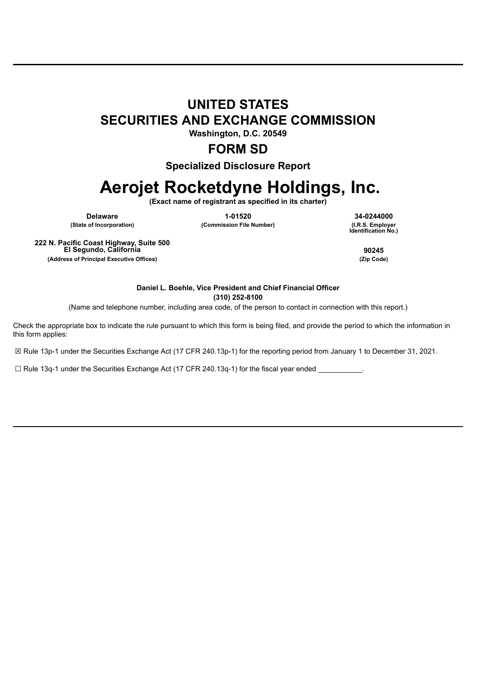## **UNITED STATES SECURITIES AND EXCHANGE COMMISSION**

**Washington, D.C. 20549**

### **FORM SD**

**Specialized Disclosure Report**

# **Aerojet Rocketdyne Holdings, Inc.**

**(Exact name of registrant as specified in its charter)**

**Delaware 1-01520 34-0244000 (State of Incorporation) (Commission File Number)** 

**Identification No.)**

**222 N. Pacific Coast Highway, Suite 500 El Segundo, California 90245 (Address of Principal Executive Offices) (Zip Code)**

**Daniel L. Boehle, Vice President and Chief Financial Officer (310) 252-8100**

(Name and telephone number, including area code, of the person to contact in connection with this report.)

Check the appropriate box to indicate the rule pursuant to which this form is being filed, and provide the period to which the information in this form applies:

☒ Rule 13p-1 under the Securities Exchange Act (17 CFR 240.13p-1) for the reporting period from January 1 to December 31, 2021.

 $\Box$  Rule 13q-1 under the Securities Exchange Act (17 CFR 240.13q-1) for the fiscal year ended \_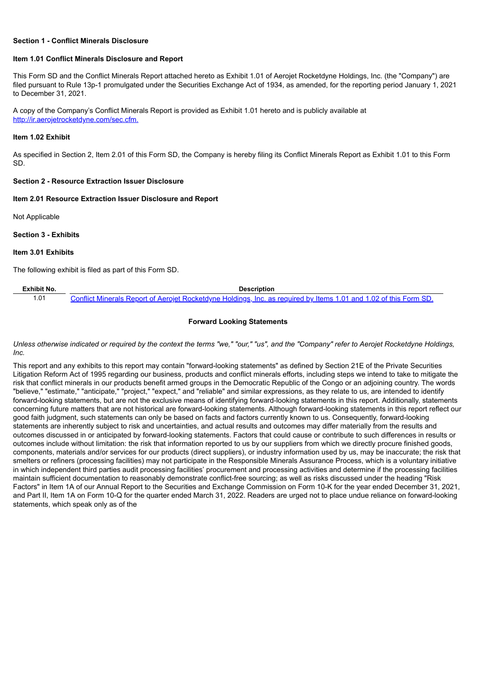#### **Section 1 - Conflict Minerals Disclosure**

#### **Item 1.01 Conflict Minerals Disclosure and Report**

This Form SD and the Conflict Minerals Report attached hereto as Exhibit 1.01 of Aerojet Rocketdyne Holdings, Inc. (the "Company") are filed pursuant to Rule 13p-1 promulgated under the Securities Exchange Act of 1934, as amended, for the reporting period January 1, 2021 to December 31, 2021.

A copy of the Company's Conflict Minerals Report is provided as Exhibit 1.01 hereto and is publicly available at http://ir.aerojetrocketdyne.com/sec.cfm.

#### **Item 1.02 Exhibit**

As specified in Section 2, Item 2.01 of this Form SD, the Company is hereby filing its Conflict Minerals Report as Exhibit 1.01 to this Form SD.

#### **Section 2 - Resource Extraction Issuer Disclosure**

#### **Item 2.01 Resource Extraction Issuer Disclosure and Report**

Not Applicable

**Section 3 - Exhibits**

#### **Item 3.01 Exhibits**

The following exhibit is filed as part of this Form SD.

| Exhibit No. | Description                                                                                                       |
|-------------|-------------------------------------------------------------------------------------------------------------------|
| .01         | Conflict Minerals Report of Aerojet Rocketdyne Holdings, Inc. as required by Items 1.01 and 1.02 of this Form SD. |

#### **Forward Looking Statements**

Unless otherwise indicated or required by the context the terms "we," "our," "us", and the "Company" refer to Aerojet Rocketdyne Holdings, *Inc.*

This report and any exhibits to this report may contain "forward-looking statements" as defined by Section 21E of the Private Securities Litigation Reform Act of 1995 regarding our business, products and conflict minerals efforts, including steps we intend to take to mitigate the risk that conflict minerals in our products benefit armed groups in the Democratic Republic of the Congo or an adjoining country. The words "believe," "estimate," "anticipate," "project," "expect," and "reliable" and similar expressions, as they relate to us, are intended to identify forward-looking statements, but are not the exclusive means of identifying forward-looking statements in this report. Additionally, statements concerning future matters that are not historical are forward-looking statements. Although forward-looking statements in this report reflect our good faith judgment, such statements can only be based on facts and factors currently known to us. Consequently, forward-looking statements are inherently subject to risk and uncertainties, and actual results and outcomes may differ materially from the results and outcomes discussed in or anticipated by forward-looking statements. Factors that could cause or contribute to such differences in results or outcomes include without limitation: the risk that information reported to us by our suppliers from which we directly procure finished goods, components, materials and/or services for our products (direct suppliers), or industry information used by us, may be inaccurate; the risk that smelters or refiners (processing facilities) may not participate in the Responsible Minerals Assurance Process, which is a voluntary initiative in which independent third parties audit processing facilities' procurement and processing activities and determine if the processing facilities maintain sufficient documentation to reasonably demonstrate conflict-free sourcing; as well as risks discussed under the heading "Risk Factors" in Item 1A of our Annual Report to the Securities and Exchange Commission on Form 10-K for the year ended December 31, 2021, and Part II, Item 1A on Form 10-Q for the quarter ended March 31, 2022. Readers are urged not to place undue reliance on forward-looking statements, which speak only as of the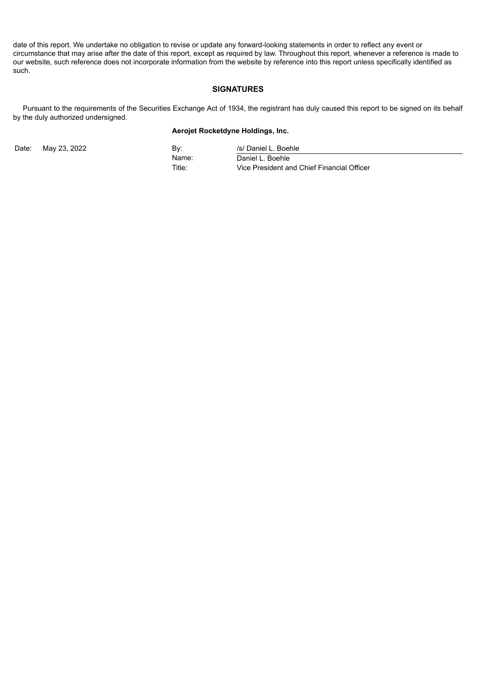date of this report. We undertake no obligation to revise or update any forward-looking statements in order to reflect any event or circumstance that may arise after the date of this report, except as required by law. Throughout this report, whenever a reference is made to our website, such reference does not incorporate information from the website by reference into this report unless specifically identified as such.

#### **SIGNATURES**

Pursuant to the requirements of the Securities Exchange Act of 1934, the registrant has duly caused this report to be signed on its behalf by the duly authorized undersigned.

#### **Aerojet Rocketdyne Holdings, Inc.**

Date: May 23, 2022 **By:** By: /s/ Daniel L. Boehle Name: Daniel L. Boehle Title: Vice President and Chief Financial Officer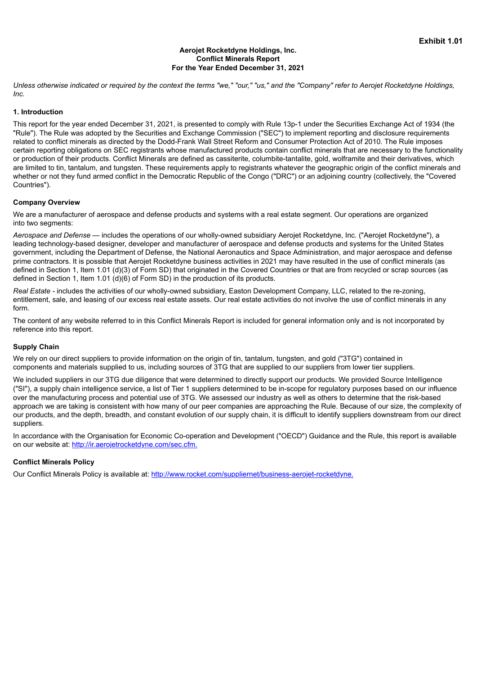#### **Aerojet Rocketdyne Holdings, Inc. Conflict Minerals Report For the Year Ended December 31, 2021**

<span id="page-3-0"></span>Unless otherwise indicated or required by the context the terms "we," "our," "us," and the "Company" refer to Aerojet Rocketdyne Holdings, *Inc.*

#### **1. Introduction**

This report for the year ended December 31, 2021, is presented to comply with Rule 13p-1 under the Securities Exchange Act of 1934 (the "Rule"). The Rule was adopted by the Securities and Exchange Commission ("SEC") to implement reporting and disclosure requirements related to conflict minerals as directed by the Dodd-Frank Wall Street Reform and Consumer Protection Act of 2010. The Rule imposes certain reporting obligations on SEC registrants whose manufactured products contain conflict minerals that are necessary to the functionality or production of their products. Conflict Minerals are defined as cassiterite, columbite-tantalite, gold, wolframite and their derivatives, which are limited to tin, tantalum, and tungsten. These requirements apply to registrants whatever the geographic origin of the conflict minerals and whether or not they fund armed conflict in the Democratic Republic of the Congo ("DRC") or an adjoining country (collectively, the "Covered Countries").

#### **Company Overview**

We are a manufacturer of aerospace and defense products and systems with a real estate segment. Our operations are organized into two segments:

*Aerospace and Defense —* includes the operations of our wholly-owned subsidiary Aerojet Rocketdyne, Inc. ("Aerojet Rocketdyne"), a leading technology-based designer, developer and manufacturer of aerospace and defense products and systems for the United States government, including the Department of Defense, the National Aeronautics and Space Administration, and major aerospace and defense prime contractors. It is possible that Aerojet Rocketdyne business activities in 2021 may have resulted in the use of conflict minerals (as defined in Section 1, Item 1.01 (d)(3) of Form SD) that originated in the Covered Countries or that are from recycled or scrap sources (as defined in Section 1, Item 1.01 (d)(6) of Form SD) in the production of its products.

*Real Estate -* includes the activities of our wholly-owned subsidiary, Easton Development Company, LLC, related to the re-zoning, entitlement, sale, and leasing of our excess real estate assets. Our real estate activities do not involve the use of conflict minerals in any form.

The content of any website referred to in this Conflict Minerals Report is included for general information only and is not incorporated by reference into this report.

#### **Supply Chain**

We rely on our direct suppliers to provide information on the origin of tin, tantalum, tungsten, and gold ("3TG") contained in components and materials supplied to us, including sources of 3TG that are supplied to our suppliers from lower tier suppliers.

We included suppliers in our 3TG due diligence that were determined to directly support our products. We provided Source Intelligence ("SI"), a supply chain intelligence service, a list of Tier 1 suppliers determined to be in-scope for regulatory purposes based on our influence over the manufacturing process and potential use of 3TG. We assessed our industry as well as others to determine that the risk-based approach we are taking is consistent with how many of our peer companies are approaching the Rule. Because of our size, the complexity of our products, and the depth, breadth, and constant evolution of our supply chain, it is difficult to identify suppliers downstream from our direct suppliers.

In accordance with the Organisation for Economic Co-operation and Development ("OECD") Guidance and the Rule, this report is available on our website at: http://ir.aerojetrocketdyne.com/sec.cfm.

#### **Conflict Minerals Policy**

Our Conflict Minerals Policy is available at: http://www.rocket.com/suppliernet/business-aerojet-rocketdyne.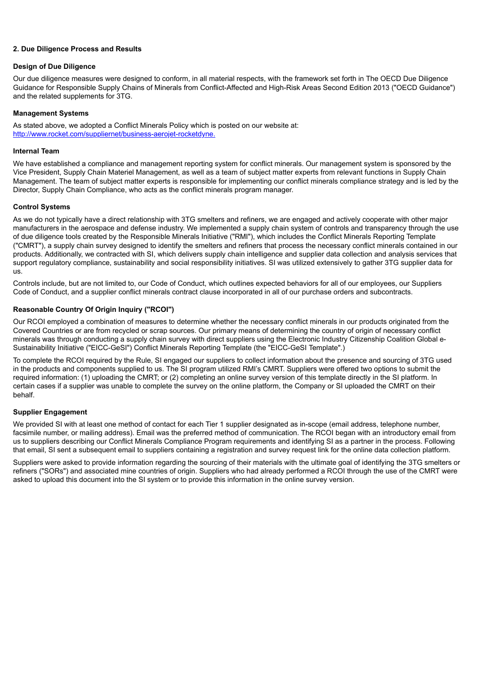#### **2. Due Diligence Process and Results**

#### **Design of Due Diligence**

Our due diligence measures were designed to conform, in all material respects, with the framework set forth in The OECD Due Diligence Guidance for Responsible Supply Chains of Minerals from Conflict-Affected and High-Risk Areas Second Edition 2013 ("OECD Guidance") and the related supplements for 3TG.

#### **Management Systems**

As stated above, we adopted a Conflict Minerals Policy which is posted on our website at: http://www.rocket.com/suppliernet/business-aerojet-rocketdyne.

#### **Internal Team**

We have established a compliance and management reporting system for conflict minerals. Our management system is sponsored by the Vice President, Supply Chain Materiel Management, as well as a team of subject matter experts from relevant functions in Supply Chain Management. The team of subject matter experts is responsible for implementing our conflict minerals compliance strategy and is led by the Director, Supply Chain Compliance, who acts as the conflict minerals program manager.

#### **Control Systems**

As we do not typically have a direct relationship with 3TG smelters and refiners, we are engaged and actively cooperate with other major manufacturers in the aerospace and defense industry. We implemented a supply chain system of controls and transparency through the use of due diligence tools created by the Responsible Minerals Initiative ("RMI"), which includes the Conflict Minerals Reporting Template ("CMRT"), a supply chain survey designed to identify the smelters and refiners that process the necessary conflict minerals contained in our products. Additionally, we contracted with SI, which delivers supply chain intelligence and supplier data collection and analysis services that support regulatory compliance, sustainability and social responsibility initiatives. SI was utilized extensively to gather 3TG supplier data for us.

Controls include, but are not limited to, our Code of Conduct, which outlines expected behaviors for all of our employees, our Suppliers Code of Conduct, and a supplier conflict minerals contract clause incorporated in all of our purchase orders and subcontracts.

#### **Reasonable Country Of Origin Inquiry ("RCOI")**

Our RCOI employed a combination of measures to determine whether the necessary conflict minerals in our products originated from the Covered Countries or are from recycled or scrap sources. Our primary means of determining the country of origin of necessary conflict minerals was through conducting a supply chain survey with direct suppliers using the Electronic Industry Citizenship Coalition Global e-Sustainability Initiative ("EICC-GeSI") Conflict Minerals Reporting Template (the "EICC-GeSI Template".)

To complete the RCOI required by the Rule, SI engaged our suppliers to collect information about the presence and sourcing of 3TG used in the products and components supplied to us. The SI program utilized RMI's CMRT. Suppliers were offered two options to submit the required information: (1) uploading the CMRT; or (2) completing an online survey version of this template directly in the SI platform. In certain cases if a supplier was unable to complete the survey on the online platform, the Company or SI uploaded the CMRT on their behalf.

#### **Supplier Engagement**

We provided SI with at least one method of contact for each Tier 1 supplier designated as in-scope (email address, telephone number, facsimile number, or mailing address). Email was the preferred method of communication. The RCOI began with an introductory email from us to suppliers describing our Conflict Minerals Compliance Program requirements and identifying SI as a partner in the process. Following that email, SI sent a subsequent email to suppliers containing a registration and survey request link for the online data collection platform.

Suppliers were asked to provide information regarding the sourcing of their materials with the ultimate goal of identifying the 3TG smelters or refiners ("SORs") and associated mine countries of origin. Suppliers who had already performed a RCOI through the use of the CMRT were asked to upload this document into the SI system or to provide this information in the online survey version.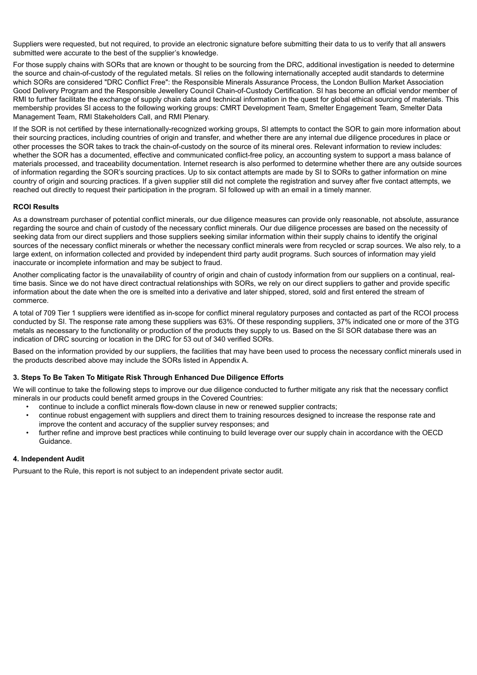Suppliers were requested, but not required, to provide an electronic signature before submitting their data to us to verify that all answers submitted were accurate to the best of the supplier's knowledge.

For those supply chains with SORs that are known or thought to be sourcing from the DRC, additional investigation is needed to determine the source and chain-of-custody of the regulated metals. SI relies on the following internationally accepted audit standards to determine which SORs are considered "DRC Conflict Free": the Responsible Minerals Assurance Process, the London Bullion Market Association Good Delivery Program and the Responsible Jewellery Council Chain-of-Custody Certification. SI has become an official vendor member of RMI to further facilitate the exchange of supply chain data and technical information in the quest for global ethical sourcing of materials. This membership provides SI access to the following working groups: CMRT Development Team, Smelter Engagement Team, Smelter Data Management Team, RMI Stakeholders Call, and RMI Plenary.

If the SOR is not certified by these internationally-recognized working groups, SI attempts to contact the SOR to gain more information about their sourcing practices, including countries of origin and transfer, and whether there are any internal due diligence procedures in place or other processes the SOR takes to track the chain-of-custody on the source of its mineral ores. Relevant information to review includes: whether the SOR has a documented, effective and communicated conflict-free policy, an accounting system to support a mass balance of materials processed, and traceability documentation. Internet research is also performed to determine whether there are any outside sources of information regarding the SOR's sourcing practices. Up to six contact attempts are made by SI to SORs to gather information on mine country of origin and sourcing practices. If a given supplier still did not complete the registration and survey after five contact attempts, we reached out directly to request their participation in the program. SI followed up with an email in a timely manner.

#### **RCOI Results**

As a downstream purchaser of potential conflict minerals, our due diligence measures can provide only reasonable, not absolute, assurance regarding the source and chain of custody of the necessary conflict minerals. Our due diligence processes are based on the necessity of seeking data from our direct suppliers and those suppliers seeking similar information within their supply chains to identify the original sources of the necessary conflict minerals or whether the necessary conflict minerals were from recycled or scrap sources. We also rely, to a large extent, on information collected and provided by independent third party audit programs. Such sources of information may yield inaccurate or incomplete information and may be subject to fraud.

Another complicating factor is the unavailability of country of origin and chain of custody information from our suppliers on a continual, realtime basis. Since we do not have direct contractual relationships with SORs, we rely on our direct suppliers to gather and provide specific information about the date when the ore is smelted into a derivative and later shipped, stored, sold and first entered the stream of commerce.

A total of 709 Tier 1 suppliers were identified as in-scope for conflict mineral regulatory purposes and contacted as part of the RCOI process conducted by SI. The response rate among these suppliers was 63%. Of these responding suppliers, 37% indicated one or more of the 3TG metals as necessary to the functionality or production of the products they supply to us. Based on the SI SOR database there was an indication of DRC sourcing or location in the DRC for 53 out of 340 verified SORs.

Based on the information provided by our suppliers, the facilities that may have been used to process the necessary conflict minerals used in the products described above may include the SORs listed in Appendix A.

#### **3. Steps To Be Taken To Mitigate Risk Through Enhanced Due Diligence Efforts**

We will continue to take the following steps to improve our due diligence conducted to further mitigate any risk that the necessary conflict minerals in our products could benefit armed groups in the Covered Countries:

- continue to include a conflict minerals flow-down clause in new or renewed supplier contracts;
- continue robust engagement with suppliers and direct them to training resources designed to increase the response rate and improve the content and accuracy of the supplier survey responses; and
- further refine and improve best practices while continuing to build leverage over our supply chain in accordance with the OECD Guidance.

#### **4. Independent Audit**

Pursuant to the Rule, this report is not subject to an independent private sector audit.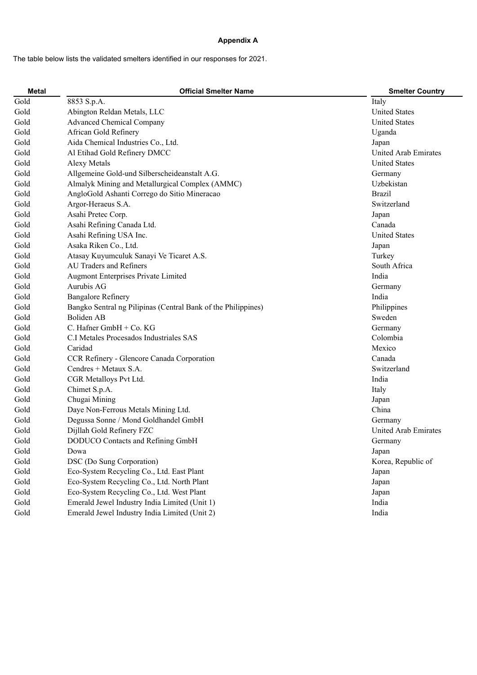#### **Appendix A**

The table below lists the validated smelters identified in our responses for 2021.

| <b>Metal</b> | <b>Official Smelter Name</b>                                  | <b>Smelter Country</b> |
|--------------|---------------------------------------------------------------|------------------------|
| Gold         | 8853 S.p.A.                                                   | Italy                  |
| Gold         | Abington Reldan Metals, LLC                                   | <b>United States</b>   |
| Gold         | <b>Advanced Chemical Company</b>                              | <b>United States</b>   |
| Gold         | African Gold Refinery                                         | Uganda                 |
| Gold         | Aida Chemical Industries Co., Ltd.                            | Japan                  |
| Gold         | Al Etihad Gold Refinery DMCC                                  | United Arab Emirates   |
| Gold         | <b>Alexy Metals</b>                                           | <b>United States</b>   |
| Gold         | Allgemeine Gold-und Silberscheideanstalt A.G.                 | Germany                |
| Gold         | Almalyk Mining and Metallurgical Complex (AMMC)               | Uzbekistan             |
| Gold         | AngloGold Ashanti Corrego do Sitio Mineracao                  | <b>Brazil</b>          |
| Gold         | Argor-Heraeus S.A.                                            | Switzerland            |
| Gold         | Asahi Pretec Corp.                                            | Japan                  |
| Gold         | Asahi Refining Canada Ltd.                                    | Canada                 |
| Gold         | Asahi Refining USA Inc.                                       | <b>United States</b>   |
| Gold         | Asaka Riken Co., Ltd.                                         | Japan                  |
| Gold         | Atasay Kuyumculuk Sanayi Ve Ticaret A.S.                      | Turkey                 |
| Gold         | <b>AU Traders and Refiners</b>                                | South Africa           |
| Gold         | Augmont Enterprises Private Limited                           | India                  |
| Gold         | Aurubis AG                                                    | Germany                |
| Gold         | <b>Bangalore Refinery</b>                                     | India                  |
| Gold         | Bangko Sentral ng Pilipinas (Central Bank of the Philippines) | Philippines            |
| Gold         | Boliden AB                                                    | Sweden                 |
| Gold         | C. Hafner GmbH + Co. KG                                       | Germany                |
| Gold         | C.I Metales Procesados Industriales SAS                       | Colombia               |
| Gold         | Caridad                                                       | Mexico                 |
| Gold         | CCR Refinery - Glencore Canada Corporation                    | Canada                 |
| Gold         | Cendres + Metaux S.A.                                         | Switzerland            |
| Gold         | CGR Metalloys Pvt Ltd.                                        | India                  |
| Gold         | Chimet S.p.A.                                                 | Italy                  |
| Gold         | Chugai Mining                                                 | Japan                  |
| Gold         | Daye Non-Ferrous Metals Mining Ltd.                           | China                  |
| Gold         | Degussa Sonne / Mond Goldhandel GmbH                          | Germany                |
| Gold         | Dijllah Gold Refinery FZC                                     | United Arab Emirates   |
| Gold         | DODUCO Contacts and Refining GmbH                             | Germany                |
| Gold         | Dowa                                                          | Japan                  |
| Gold         | DSC (Do Sung Corporation)                                     | Korea, Republic of     |
| Gold         | Eco-System Recycling Co., Ltd. East Plant                     | Japan                  |
| Gold         | Eco-System Recycling Co., Ltd. North Plant                    | Japan                  |
| Gold         | Eco-System Recycling Co., Ltd. West Plant                     | Japan                  |
| Gold         | Emerald Jewel Industry India Limited (Unit 1)                 | India                  |
| Gold         | Emerald Jewel Industry India Limited (Unit 2)                 | India                  |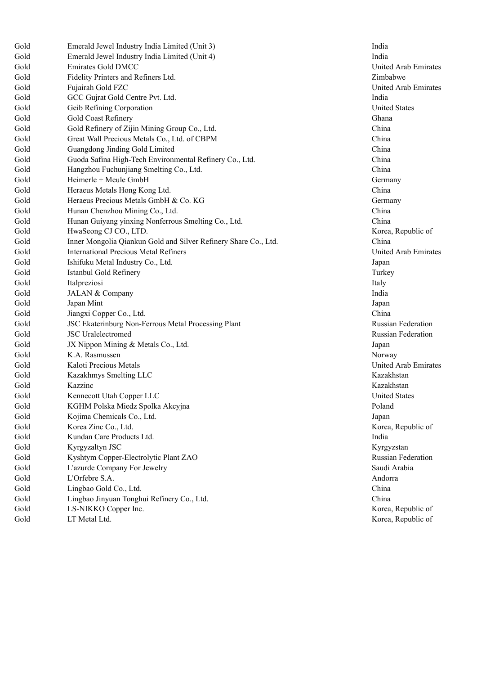| Gold | Emerald Jewel Industry India Limited (Unit 3)                   | In                   |
|------|-----------------------------------------------------------------|----------------------|
| Gold | Emerald Jewel Industry India Limited (Unit 4)                   | In                   |
| Gold | Emirates Gold DMCC                                              | Ur                   |
| Gold | Fidelity Printers and Refiners Ltd.                             | Zii                  |
| Gold | Fujairah Gold FZC                                               | Ur                   |
| Gold | GCC Gujrat Gold Centre Pvt. Ltd.                                | In                   |
| Gold | Geib Refining Corporation                                       | Ur                   |
| Gold | Gold Coast Refinery                                             | Gł                   |
| Gold | Gold Refinery of Zijin Mining Group Co., Ltd.                   | <b>Cl</b>            |
| Gold | Great Wall Precious Metals Co., Ltd. of CBPM                    | <b>Ch</b>            |
| Gold | Guangdong Jinding Gold Limited                                  | <b>Ch</b>            |
| Gold | Guoda Safina High-Tech Environmental Refinery Co., Ltd.         | <b>Ch</b>            |
| Gold | Hangzhou Fuchunjiang Smelting Co., Ltd.                         | <b>Ch</b>            |
| Gold | Heimerle + Meule GmbH                                           | G6                   |
| Gold | Heraeus Metals Hong Kong Ltd.                                   | Ch                   |
| Gold | Heraeus Precious Metals GmbH & Co. KG                           | G6                   |
| Gold | Hunan Chenzhou Mining Co., Ltd.                                 | <b>Cl</b>            |
| Gold | Hunan Guiyang yinxing Nonferrous Smelting Co., Ltd.             | <b>C<sub>h</sub></b> |
| Gold | HwaSeong CJ CO., LTD.                                           | K <sup>o</sup>       |
| Gold | Inner Mongolia Qiankun Gold and Silver Refinery Share Co., Ltd. | <b>Ch</b>            |
| Gold | <b>International Precious Metal Refiners</b>                    | Ur                   |
| Gold | Ishifuku Metal Industry Co., Ltd.                               | Jaj                  |
| Gold | Istanbul Gold Refinery                                          | Tu                   |
| Gold | Italpreziosi                                                    | Ita                  |
| Gold | JALAN & Company                                                 | In                   |
| Gold | Japan Mint                                                      | Jaj                  |
| Gold | Jiangxi Copper Co., Ltd.                                        | Ch                   |
| Gold | JSC Ekaterinburg Non-Ferrous Metal Processing Plant             | Ru                   |
| Gold | <b>JSC</b> Uralelectromed                                       | Rı                   |
| Gold | JX Nippon Mining & Metals Co., Ltd.                             | Jap                  |
| Gold | K.A. Rasmussen                                                  | N                    |
| Gold | Kaloti Precious Metals                                          | Ur                   |
| Gold | Kazakhmys Smelting LLC                                          | $K\epsilon$          |
| Gold | Kazzinc                                                         | $K\epsilon$          |
| Gold | Kennecott Utah Copper LLC                                       | Ur                   |
| Gold | KGHM Polska Miedz Spolka Akcyjna                                | Po                   |
| Gold | Kojima Chemicals Co., Ltd.                                      | Jaj                  |
| Gold | Korea Zinc Co., Ltd.                                            | K <sup>o</sup>       |
| Gold | Kundan Care Products Ltd.                                       | <b>In</b>            |
| Gold | Kyrgyzaltyn JSC                                                 | Кy                   |
| Gold | Kyshtym Copper-Electrolytic Plant ZAO                           | Rı                   |
| Gold | L'azurde Company For Jewelry                                    | Sa                   |
| Gold | L'Orfebre S.A.                                                  | Ar                   |
| Gold | Lingbao Gold Co., Ltd.                                          | <b>Cl</b>            |
| Gold | Lingbao Jinyuan Tonghui Refinery Co., Ltd.                      | <b>Cl</b>            |
| Gold | LS-NIKKO Copper Inc.                                            | Kα                   |
| Gold | LT Metal Ltd.                                                   | K <sup>o</sup>       |

India India United Arab Emirates i m b a b w e United Arab Emirates n d i a United States Ghana h i n a China China h i n a h i n a **Germany** h i n a Germany h i n a h i n a orea, Republic of d. Ch h i n a United Arab Emirates ap a n Turkey Italy India **Japan** h i n a Russian Federation Russian Federation ap a n Norway United Arab Emirates Kazakhstan Kazakhstan United States Poland ap a n orea, Republic of n d i a Kyrgyzstan Russian Federation Saudi Arabia ndorra h i n a h i n a orea, Republic of orea, Republic of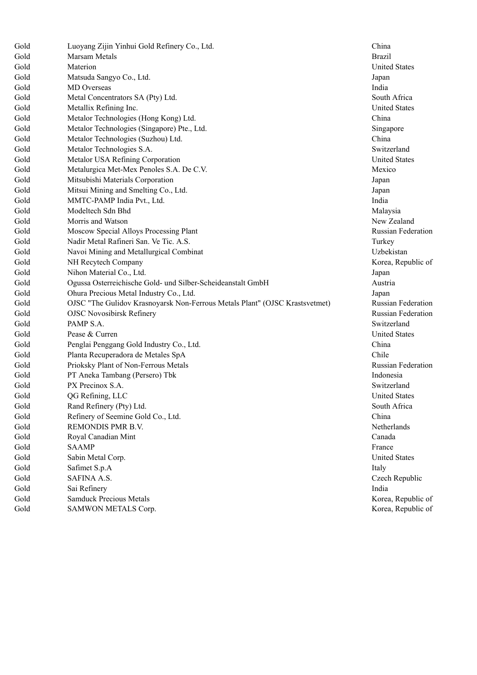| Gold | Luoyang Zijin Yinhui Gold Refinery Co., Ltd.                                | China                |
|------|-----------------------------------------------------------------------------|----------------------|
| Gold | Marsam Metals                                                               | <b>Brazil</b>        |
| Gold | Materion                                                                    | <b>United States</b> |
| Gold | Matsuda Sangyo Co., Ltd.                                                    | Japan                |
| Gold | MD Overseas                                                                 | India                |
| Gold | Metal Concentrators SA (Pty) Ltd.                                           | South Africa         |
| Gold | Metallix Refining Inc.                                                      | <b>United States</b> |
| Gold | Metalor Technologies (Hong Kong) Ltd.                                       | China                |
| Gold | Metalor Technologies (Singapore) Pte., Ltd.                                 | Singapore            |
| Gold | Metalor Technologies (Suzhou) Ltd.                                          | China                |
| Gold | Metalor Technologies S.A.                                                   | Switzerland          |
| Gold | Metalor USA Refining Corporation                                            | <b>United States</b> |
| Gold | Metalurgica Met-Mex Penoles S.A. De C.V.                                    | Mexico               |
| Gold | Mitsubishi Materials Corporation                                            | Japan                |
| Gold | Mitsui Mining and Smelting Co., Ltd.                                        | Japan                |
| Gold | MMTC-PAMP India Pvt., Ltd.                                                  | India                |
| Gold | Modeltech Sdn Bhd                                                           | Malaysia             |
| Gold | Morris and Watson                                                           | New Zealand          |
| Gold | Moscow Special Alloys Processing Plant                                      | Russian Feder        |
| Gold | Nadir Metal Rafineri San. Ve Tic. A.S.                                      | Turkey               |
| Gold | Navoi Mining and Metallurgical Combinat                                     | Uzbekistan           |
| Gold | NH Recytech Company                                                         | Korea, Repub         |
| Gold | Nihon Material Co., Ltd.                                                    | Japan                |
| Gold | Ogussa Osterreichische Gold- und Silber-Scheideanstalt GmbH                 | Austria              |
| Gold | Ohura Precious Metal Industry Co., Ltd.                                     | Japan                |
| Gold | OJSC "The Gulidov Krasnoyarsk Non-Ferrous Metals Plant" (OJSC Krastsvetmet) | Russian Feder        |
| Gold | <b>OJSC Novosibirsk Refinery</b>                                            | Russian Feder        |
| Gold | PAMP S.A.                                                                   | Switzerland          |
| Gold | Pease & Curren                                                              | <b>United States</b> |
| Gold | Penglai Penggang Gold Industry Co., Ltd.                                    | China                |
| Gold | Planta Recuperadora de Metales SpA                                          | Chile                |
| Gold | Prioksky Plant of Non-Ferrous Metals                                        | Russian Feder        |
| Gold | PT Aneka Tambang (Persero) Tbk                                              | Indonesia            |
| Gold | PX Precinox S.A.                                                            | Switzerland          |
| Gold | QG Refining, LLC                                                            | <b>United States</b> |
| Gold | Rand Refinery (Pty) Ltd.                                                    | South Africa         |
| Gold | Refinery of Seemine Gold Co., Ltd.                                          | China                |
| Gold | REMONDIS PMR B.V.                                                           | Netherlands          |
| Gold | Royal Canadian Mint                                                         | Canada               |
| Gold | <b>SAAMP</b>                                                                | France               |
| Gold | Sabin Metal Corp.                                                           | <b>United States</b> |
| Gold | Safimet S.p.A                                                               | Italy                |
| Gold | SAFINA A.S.                                                                 | Czech Republ         |
| Gold | Sai Refinery                                                                | India                |
| Gold | <b>Samduck Precious Metals</b>                                              | Korea, Repub         |
| Gold | SAMWON METALS Corp.                                                         | Korea, Repub         |

United States United States New Zealand Russian Federation Korea, Republic of Russian Federation Russian Federation Russian Federation South Africa United States Czech Republic Korea, Republic of Korea, Republic of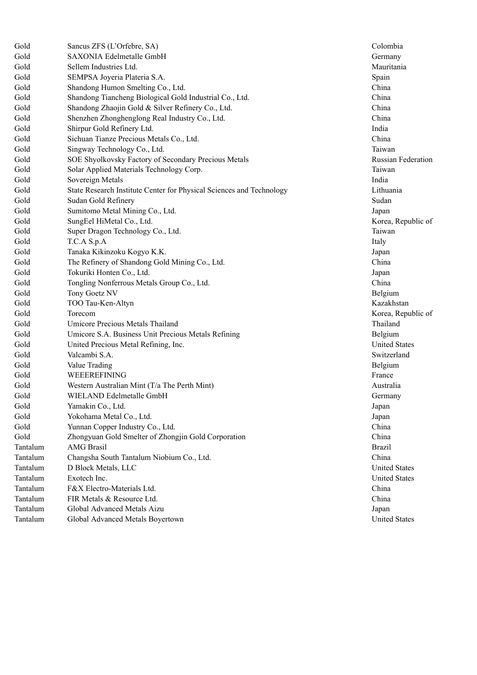| Gold     | Sancus ZFS (L'Orfebre, SA)                                           | Colombia            |
|----------|----------------------------------------------------------------------|---------------------|
| Gold     | SAXONIA Edelmetalle GmbH                                             | Germany             |
| Gold     | Sellem Industries Ltd.                                               | Mauritania          |
| Gold     | SEMPSA Joyeria Plateria S.A.                                         | Spain               |
| Gold     | Shandong Humon Smelting Co., Ltd.                                    | China               |
| Gold     | Shandong Tiancheng Biological Gold Industrial Co., Ltd.              | China               |
| Gold     | Shandong Zhaojin Gold & Silver Refinery Co., Ltd.                    | China               |
| Gold     | Shenzhen Zhonghenglong Real Industry Co., Ltd.                       | China               |
| Gold     | Shirpur Gold Refinery Ltd.                                           | India               |
| Gold     | Sichuan Tianze Precious Metals Co., Ltd.                             | China               |
| Gold     | Singway Technology Co., Ltd.                                         | Taiwan              |
| Gold     | SOE Shyolkovsky Factory of Secondary Precious Metals                 | Russian Fed         |
| Gold     | Solar Applied Materials Technology Corp.                             | Taiwan              |
| Gold     | Sovereign Metals                                                     | India               |
| Gold     | State Research Institute Center for Physical Sciences and Technology | Lithuania           |
| Gold     | Sudan Gold Refinery                                                  | Sudan               |
| Gold     | Sumitomo Metal Mining Co., Ltd.                                      | Japan               |
| Gold     | SungEel HiMetal Co., Ltd.                                            | Korea, Repu         |
| Gold     | Super Dragon Technology Co., Ltd.                                    | Taiwan              |
| Gold     | T.C.A S.p.A                                                          | Italy               |
| Gold     | Tanaka Kikinzoku Kogyo K.K.                                          | Japan               |
| Gold     | The Refinery of Shandong Gold Mining Co., Ltd.                       | China               |
| Gold     | Tokuriki Honten Co., Ltd.                                            | Japan               |
| Gold     | Tongling Nonferrous Metals Group Co., Ltd.                           | China               |
| Gold     | Tony Goetz NV                                                        | Belgium             |
| Gold     | TOO Tau-Ken-Altyn                                                    | Kazakhstan          |
| Gold     | Torecom                                                              | Korea, Repu         |
| Gold     | Umicore Precious Metals Thailand                                     | Thailand            |
| Gold     | Umicore S.A. Business Unit Precious Metals Refining                  | Belgium             |
| Gold     | United Precious Metal Refining, Inc.                                 | <b>United State</b> |
| Gold     | Valcambi S.A.                                                        | Switzerland         |
| Gold     | Value Trading                                                        | Belgium             |
| Gold     | WEEEREFINING                                                         | France              |
| Gold     | Western Australian Mint (T/a The Perth Mint)                         | Australia           |
| Gold     | WIELAND Edelmetalle GmbH                                             | Germany             |
| Gold     | Yamakin Co., Ltd.                                                    | Japan               |
| Gold     | Yokohama Metal Co., Ltd.                                             | Japan               |
| Gold     | Yunnan Copper Industry Co., Ltd.                                     | China               |
| Gold     | Zhongyuan Gold Smelter of Zhongjin Gold Corporation                  | China               |
| Tantalum | <b>AMG</b> Brasil                                                    | <b>Brazil</b>       |
| Tantalum | Changsha South Tantalum Niobium Co., Ltd.                            | China               |
| Tantalum | D Block Metals, LLC                                                  | <b>United State</b> |
| Tantalum | Exotech Inc.                                                         | <b>United State</b> |
| Tantalum | F&X Electro-Materials Ltd.                                           | China               |
| Tantalum | FIR Metals & Resource Ltd.                                           | China               |
| Tantalum | Global Advanced Metals Aizu                                          | Japan               |
| Tantalum | Global Advanced Metals Boyertown                                     | <b>United State</b> |

Russian Federation Korea, Republic of Korea, Republic of United States United States **United States** United States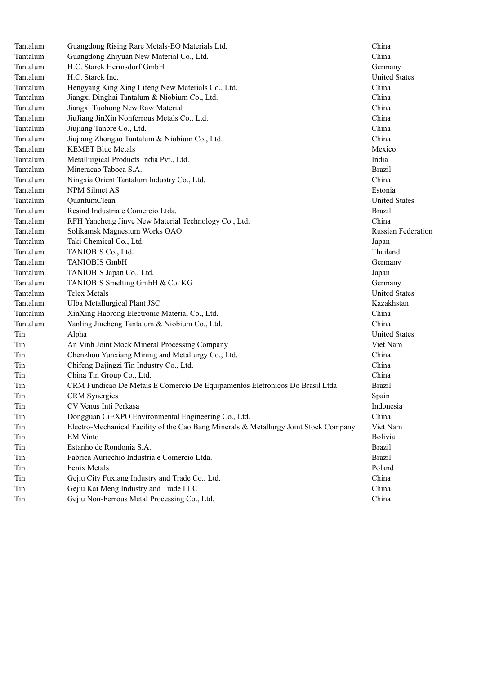| Tantalum | Guangdong Rising Rare Metals-EO Materials Ltd.                                        | China                |
|----------|---------------------------------------------------------------------------------------|----------------------|
| Tantalum | Guangdong Zhiyuan New Material Co., Ltd.                                              | China                |
| Tantalum | H.C. Starck Hermsdorf GmbH                                                            | Germany              |
| Tantalum | H.C. Starck Inc.                                                                      | <b>United States</b> |
| Tantalum | Hengyang King Xing Lifeng New Materials Co., Ltd.                                     | China                |
| Tantalum | Jiangxi Dinghai Tantalum & Niobium Co., Ltd.                                          | China                |
| Tantalum | Jiangxi Tuohong New Raw Material                                                      | China                |
| Tantalum | JiuJiang JinXin Nonferrous Metals Co., Ltd.                                           | China                |
| Tantalum | Jiujiang Tanbre Co., Ltd.                                                             | China                |
| Tantalum | Jiujiang Zhongao Tantalum & Niobium Co., Ltd.                                         | China                |
| Tantalum | <b>KEMET Blue Metals</b>                                                              | Mexico               |
| Tantalum | Metallurgical Products India Pvt., Ltd.                                               | India                |
| Tantalum | Mineracao Taboca S.A.                                                                 | <b>Brazil</b>        |
| Tantalum | Ningxia Orient Tantalum Industry Co., Ltd.                                            | China                |
| Tantalum | NPM Silmet AS                                                                         | Estonia              |
| Tantalum | QuantumClean                                                                          | <b>United States</b> |
| Tantalum | Resind Industria e Comercio Ltda.                                                     | <b>Brazil</b>        |
| Tantalum | RFH Yancheng Jinye New Material Technology Co., Ltd.                                  | China                |
| Tantalum | Solikamsk Magnesium Works OAO                                                         | Russian Federation   |
| Tantalum | Taki Chemical Co., Ltd.                                                               | Japan                |
| Tantalum | TANIOBIS Co., Ltd.                                                                    | Thailand             |
| Tantalum | <b>TANIOBIS GmbH</b>                                                                  | Germany              |
| Tantalum | TANIOBIS Japan Co., Ltd.                                                              | Japan                |
| Tantalum | TANIOBIS Smelting GmbH & Co. KG                                                       | Germany              |
| Tantalum | <b>Telex Metals</b>                                                                   | <b>United States</b> |
| Tantalum | Ulba Metallurgical Plant JSC                                                          | Kazakhstan           |
| Tantalum | XinXing Haorong Electronic Material Co., Ltd.                                         | China                |
| Tantalum | Yanling Jincheng Tantalum & Niobium Co., Ltd.                                         | China                |
| Tin      | Alpha                                                                                 | <b>United States</b> |
| Tin      | An Vinh Joint Stock Mineral Processing Company                                        | Viet Nam             |
| Tin      | Chenzhou Yunxiang Mining and Metallurgy Co., Ltd.                                     | China                |
| Tin      | Chifeng Dajingzi Tin Industry Co., Ltd.                                               | China                |
| Tin      | China Tin Group Co., Ltd.                                                             | China                |
| Tin      | CRM Fundicao De Metais E Comercio De Equipamentos Eletronicos Do Brasil Ltda          | <b>Brazil</b>        |
| Tin      | <b>CRM</b> Synergies                                                                  | Spain                |
| Tin      | CV Venus Inti Perkasa                                                                 | Indonesia            |
| Tin      | Dongguan CiEXPO Environmental Engineering Co., Ltd.                                   | China                |
| Tin      | Electro-Mechanical Facility of the Cao Bang Minerals & Metallurgy Joint Stock Company | Viet Nam             |
| Tin      | <b>EM Vinto</b>                                                                       | Bolivia              |
| Tin      | Estanho de Rondonia S.A.                                                              | <b>Brazil</b>        |
| Tin      | Fabrica Auricchio Industria e Comercio Ltda.                                          | <b>Brazil</b>        |
| Tin      | Fenix Metals                                                                          | Poland               |
| Tin      | Gejiu City Fuxiang Industry and Trade Co., Ltd.                                       | China                |
| Tin      | Gejiu Kai Meng Industry and Trade LLC                                                 | China                |
| Tin      | Gejiu Non-Ferrous Metal Processing Co., Ltd.                                          | China                |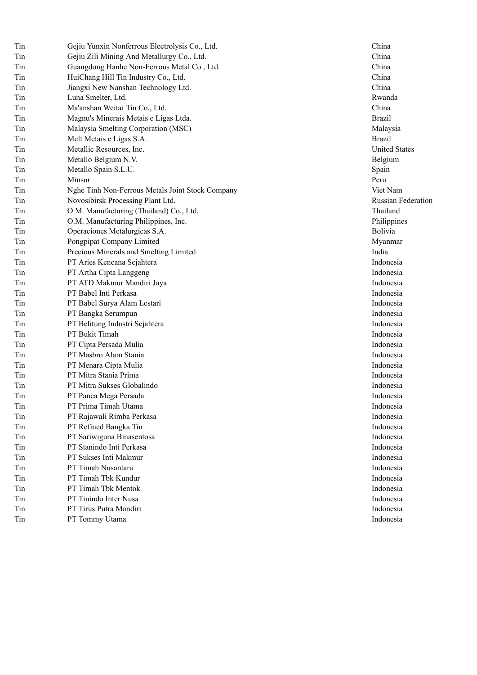| Tin | Gejiu Yunxin Nonferrous Electrolysis Co., Ltd.   | Chir        |
|-----|--------------------------------------------------|-------------|
| Tin | Gejiu Zili Mining And Metallurgy Co., Ltd.       | Chir        |
| Tin | Guangdong Hanhe Non-Ferrous Metal Co., Ltd.      | Chir        |
| Tin | HuiChang Hill Tin Industry Co., Ltd.             | Chir        |
| Tin | Jiangxi New Nanshan Technology Ltd.              | Chir        |
| Tin | Luna Smelter, Ltd.                               | Rwa         |
| Tin | Ma'anshan Weitai Tin Co., Ltd.                   | Chir        |
| Tin | Magnu's Minerais Metais e Ligas Ltda.            | <b>Braz</b> |
| Tin | Malaysia Smelting Corporation (MSC)              | Mal         |
| Tin | Melt Metais e Ligas S.A.                         | <b>Braz</b> |
| Tin | Metallic Resources, Inc.                         | Unit        |
| Tin | Metallo Belgium N.V.                             | Belg        |
| Tin | Metallo Spain S.L.U.                             | Spai        |
| Tin | Minsur                                           | Peru        |
| Tin | Nghe Tinh Non-Ferrous Metals Joint Stock Company | Viet        |
| Tin | Novosibirsk Processing Plant Ltd.                | Rus:        |
| Tin | O.M. Manufacturing (Thailand) Co., Ltd.          | Thai        |
| Tin | O.M. Manufacturing Philippines, Inc.             | Phil        |
| Tin | Operaciones Metalurgicas S.A.                    | Boli        |
| Tin | Pongpipat Company Limited                        | Myz         |
| Tin | Precious Minerals and Smelting Limited           | Indi        |
| Tin | PT Aries Kencana Sejahtera                       | Indo        |
| Tin | PT Artha Cipta Langgeng                          | Indo        |
| Tin | PT ATD Makmur Mandiri Jaya                       | Indo        |
| Tin | PT Babel Inti Perkasa                            | Indo        |
| Tin | PT Babel Surya Alam Lestari                      | Indo        |
| Tin | PT Bangka Serumpun                               | Indo        |
| Tin | PT Belitung Industri Sejahtera                   | Indo        |
| Tin | PT Bukit Timah                                   | Indo        |
| Tin | PT Cipta Persada Mulia                           | Indo        |
| Tin | PT Masbro Alam Stania                            | Indo        |
| Tin | PT Menara Cipta Mulia                            | Indo        |
| Tin | PT Mitra Stania Prima                            | Indo        |
| Tin | PT Mitra Sukses Globalindo                       | Indo        |
| Tin | PT Panca Mega Persada                            | Indo        |
| Tin | PT Prima Timah Utama                             | Indo        |
| Tin | PT Rajawali Rimba Perkasa                        | Indo        |
| Tin | PT Refined Bangka Tin                            | Indo        |
| Tin | PT Sariwiguna Binasentosa                        | Indo        |
| Tin | PT Stanindo Inti Perkasa                         | Indo        |
| Tin | PT Sukses Inti Makmur                            | Indo        |
| Tin | PT Timah Nusantara                               | Indo        |
| Tin | PT Timah Tbk Kundur                              | Indo        |
| Tin | PT Timah Tbk Mentok                              | Indo        |
| Tin | PT Tinindo Inter Nusa                            | Indo        |
| Tin | PT Tirus Putra Mandiri                           | Indo        |
| Tin | PT Tommy Utama                                   | Indo        |

h i n a h i n a h i n a h i n a h i n a a n d a h i n a r a z i l Malaysia r a z i l nited States elgium pain Peru Viet Nam ssian Federation hailand hilippines olivia Myanmar India Indonesia Indonesia Indonesia Indonesia Indonesia Indonesia Indonesia Indonesia Indonesia Indonesia Indonesia Indonesia Indonesia Indonesia Indonesia Indonesia Indonesia Indonesia Indonesia Indonesia Indonesia Indonesia Indonesia Indonesia Indonesia Indonesia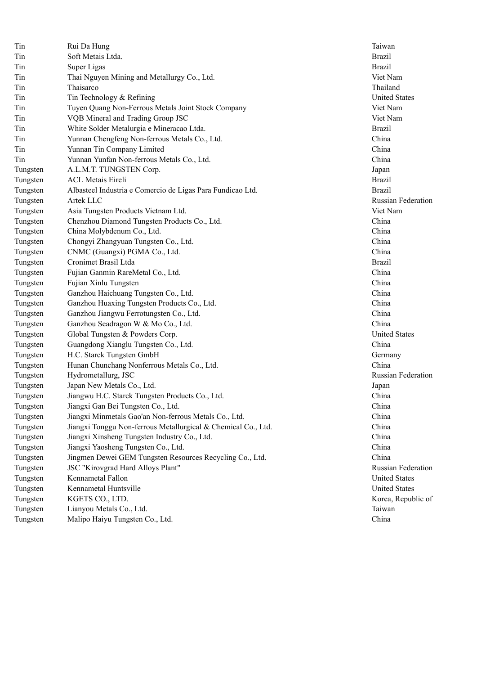| Tin      | Rui Da Hung                                                   | Tai                             |
|----------|---------------------------------------------------------------|---------------------------------|
| Tin      | Soft Metais Ltda.                                             | Bra                             |
| Tin      | Super Ligas                                                   | Bra                             |
| Tin      | Thai Nguyen Mining and Metallurgy Co., Ltd.                   | Vie                             |
| Tin      | Thaisarco                                                     | Th                              |
| Tin      | Tin Technology & Refining                                     | Un                              |
| Tin      | Tuyen Quang Non-Ferrous Metals Joint Stock Company            | Vie                             |
| Tin      | VQB Mineral and Trading Group JSC                             | Vie                             |
| Tin      | White Solder Metalurgia e Mineracao Ltda.                     | Bra                             |
| Tin      | Yunnan Chengfeng Non-ferrous Metals Co., Ltd.                 | Ch                              |
| Tin      | Yunnan Tin Company Limited                                    | Ch                              |
| Tin      | Yunnan Yunfan Non-ferrous Metals Co., Ltd.                    | Ch                              |
| Tungsten | A.L.M.T. TUNGSTEN Corp.                                       | Jap                             |
| Tungsten | <b>ACL Metais Eireli</b>                                      | Bra                             |
| Tungsten | Albasteel Industria e Comercio de Ligas Para Fundicao Ltd.    | Bra                             |
| Tungsten | Artek LLC                                                     | Ru                              |
| Tungsten | Asia Tungsten Products Vietnam Ltd.                           | Vie                             |
| Tungsten | Chenzhou Diamond Tungsten Products Co., Ltd.                  | $\mathop{\mathrm{Ch}}\nolimits$ |
| Tungsten | China Molybdenum Co., Ltd.                                    | Ch                              |
| Tungsten | Chongyi Zhangyuan Tungsten Co., Ltd.                          | Ch                              |
| Tungsten | CNMC (Guangxi) PGMA Co., Ltd.                                 | Ch                              |
| Tungsten | Cronimet Brasil Ltda                                          | Bra                             |
| Tungsten | Fujian Ganmin RareMetal Co., Ltd.                             | Ch                              |
| Tungsten | Fujian Xinlu Tungsten                                         | Ch                              |
| Tungsten | Ganzhou Haichuang Tungsten Co., Ltd.                          | Ch                              |
| Tungsten | Ganzhou Huaxing Tungsten Products Co., Ltd.                   | Ch                              |
| Tungsten | Ganzhou Jiangwu Ferrotungsten Co., Ltd.                       | Ch                              |
| Tungsten | Ganzhou Seadragon W & Mo Co., Ltd.                            | Ch                              |
| Tungsten | Global Tungsten & Powders Corp.                               | Un                              |
| Tungsten | Guangdong Xianglu Tungsten Co., Ltd.                          | Ch                              |
| Tungsten | H.C. Starck Tungsten GmbH                                     | Ge                              |
| Tungsten | Hunan Chunchang Nonferrous Metals Co., Ltd.                   | Ch                              |
| Tungsten | Hydrometallurg, JSC                                           | Ru                              |
| Tungsten | Japan New Metals Co., Ltd.                                    | Jap                             |
| Tungsten | Jiangwu H.C. Starck Tungsten Products Co., Ltd.               | Ch                              |
| Tungsten | Jiangxi Gan Bei Tungsten Co., Ltd.                            | Ch                              |
| Tungsten | Jiangxi Minmetals Gao'an Non-ferrous Metals Co., Ltd.         | Ch                              |
| Tungsten | Jiangxi Tonggu Non-ferrous Metallurgical & Chemical Co., Ltd. | Ch                              |
| Tungsten | Jiangxi Xinsheng Tungsten Industry Co., Ltd.                  | Ch                              |
| Tungsten | Jiangxi Yaosheng Tungsten Co., Ltd.                           | Ch                              |
| Tungsten | Jingmen Dewei GEM Tungsten Resources Recycling Co., Ltd.      | Ch                              |
| Tungsten | JSC "Kirovgrad Hard Alloys Plant"                             | Ru                              |
| Tungsten | Kennametal Fallon                                             | Un                              |
| Tungsten | Kennametal Huntsville                                         | Un                              |
| Tungsten | KGETS CO., LTD.                                               | Ko                              |
| Tungsten | Lianyou Metals Co., Ltd.                                      | Tai                             |
| Tungsten | Malipo Haiyu Tungsten Co., Ltd.                               | Ch                              |

**Taiwan** r a z i l **Brazil** e t N a m Thailand United States Viet Nam Viet Nam r a z i l h i n a China h i n a ap a n **Brazil** r a z i l Russian Federation e t N a m h i n a h i n a h i n a h i n a **Brazil** h i n a China h i n a h i n a h i n a h i n a nited States h i n a Germany h i n a Russian Federation ap a n h i n a h i n a h i n a d. Ch h i n a h i n a h i n a h i n a Russian Federation United States United States orea, Republic of i w a n h i n a